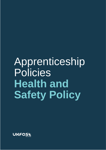# Apprenticeship Policies **Health and Safety Policy**

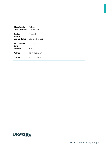<span id="page-1-0"></span>

| <b>Classification</b>      | Public           |
|----------------------------|------------------|
| <b>Date Created</b>        | 02/08/2018       |
| <b>Review</b><br>Period    | Annual           |
| <b>Last Updated</b>        | September 2021   |
| <b>Next Review</b><br>Date | <b>July 2022</b> |
| Version                    | 1.3              |
| Author                     | Tom Robinson     |
| Owner                      | Tom Robinson     |

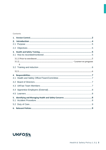#### **Contents**

| 2.<br>2.1 |   |  |
|-----------|---|--|
|           |   |  |
| 3.        |   |  |
|           |   |  |
|           | 6 |  |
|           |   |  |
|           |   |  |
| 4.        |   |  |
| 4.1       |   |  |
| 4.2       |   |  |
| 4.3       |   |  |
|           |   |  |
| 4.5       |   |  |
| 5.<br>5.1 |   |  |
|           |   |  |
|           |   |  |

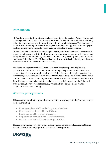## <span id="page-3-0"></span>**Introduction**

UKFast fully accepts the obligations placed upon it by the various Acts of Parliament covering Health and Safety. The Company requires The Board to ensure that the following policy is implemented and to report annually on its effectiveness. The Company is committed to providing its learners appropriate employment opportunities to engage in the Programme and to support a high quality and safe learning experience.

UKFast is equally committed to ensuring the health, safety and welfare of all learners. All employers of learners within the Programme are required to comply with Health and Safety Standards as defined by the ESFA, UKFast's Safeguarding Policy and UKFast's Health and Safety Policy. The UKFast will not put learners at risk by placing them in work situations where standards are not satisfactory.

The Board an Apprenticeship Delivery Team has ultimate responsibility for this procedure and to this end will keep this overarching policy under review. Given the complexity of the issues contained within this Policy, however, it is to be expected that those managers responsible for individual procedures and aspects of the Policy will also monitor relevant aspects of its implementation and will advise the Board and Education Team if changes need to be made to the Policy as a result. In any event, the Policy will systematically be reviewed at least every 3 years. This policy should be read in conjunction with the following:

## **Who the policy covers.**

This procedure applies to any employer associated in any way with the Company and its learners, including:

- Existing employers held on the Programme database.
- New employers identified by the UKFast.
- Employers found by learners themselves.
- Employers for learners in their family businesses.
- Learners employed with voluntary organisations.

This procedure is supported by online systems, resource packs and assessment forms for both learners and employers of learners on the Programme.

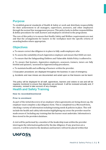# <span id="page-4-0"></span>**Purpose**

To establish general standards of Health & Safety at work and distribute responsibility for their achievement to all managers, supervisors, assessors, and other employees through the normal line management process. This policy looks to define responsibilities & define procedures for staff, learners and employers involved in the programme.

The core of this policy is to ensure that Health, Safety and Welfare requirements are met and that the arrangements for leaners in the workplace meet the specific criteria of awarding bodies where appropriate.

## <span id="page-4-1"></span>**Objectives**

a. To ensure correct due diligence is in place to fully audit employers who

b. To assess the suitability of each Apprentice employer and ensure that HASS are met.

c. To ensure that the Safeguarding Children and Vulnerable Adults Policy is adhered to.

d. To ensure that learners, Apprentice employers, assessors, trainers, tutors are fully briefed and quizzed / assessed on Apprenticeship procedures.

e. To maintain health and wellbeing of learners within the provider.

f. Evacuation procedures are displayed throughout the business in case of emergency.

g. Accidents and near misses are documented and acted upon so that lessons can be learnt

This policy will be displayed for all staff, apprentices, learners and visitors to see and will be regularly monitored to ensure that objectives are achieved. It will be reviewed annually and, if necessary, revised to take account of any changes.

## <span id="page-4-2"></span>**Health and Safety Training**

### <span id="page-4-3"></span>**How its recorded/monitored**

### <span id="page-4-4"></span>**Prior to enrolment**

As part of the initial discovery of an employer when agreements are being drawn up, the employer must complete a due diligence form. This is completed via a Microsoft form, checking a variety of information including training needs & policies in place. This will include the health and safety information highlighting any areas the provider must be made aware of. Including any training that the learner must undertake. Information is then stored in the providers database.

A visit will be performed by a member of the leadership team within the provider interrogate the information gathered by the due diligence. If any practises are a concern, it will be noted in the database and learners will not be placed within that

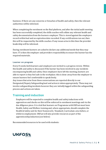business. If there are any concerns or breaches of health and safety, then the relevant authorities will be informed.

When completing the enrolment on the Bud platform, and after the initial audit meeting has been successfully completed, the skills coaches will collate any relevant health and safety documentation from the learners employer. This is stored against the employers record within bud and an expiration date recorded. If any certifications run out, then this will be requested by the skills coaches. If any issues arise in this then the provider leadership will be informed.

During enrolment learners are asked to declare any additional needs that they may have. IT is then the employer and providers responsibility to ensure the learner has the required materials .

### <span id="page-5-0"></span>**Learner on program**

Every 8 weeks both learners and employers are invited to a progress review. Within this health and safety is discussed. If the learner has been involved in any incidents encompassing health and safety. Once employers have left the meeting, learners are able to report is they feel safe in the workplace. this is done away from the employer to ensure learners feel comfortable to speak freely.

Any issues that arise from these conversations are reported directly to our Designated/Deputy Safeguarding lead and action is taken appropriately. These may not involve safeguarding incidents however they are initially logged within the safeguarding process and actions are taken.

## <span id="page-5-1"></span>**Training and induction**

<span id="page-5-2"></span>Employers will be expected to complete health and safety inductions with apprentices and checks on this will be enforced in enrolment meetings and via the due diligence piece. It is vital that learners on Programme with UKFast must have Health, Safety and Welfare training and, where appropriate, should complete the Health & Safety unit for their framework / Standard /curriculum area before, or whilst in employment. UKFast will also provide resources as part of the apprenticeship induction (see below)

Recommended resources to be used with students:

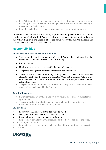- Ellis Whittam Health and safety training (fire, office and homeworking all included) this links directly to our H&S policies which are to be reviewed by all that come into the business.
- Induction including assessments and quizzes for their relevant employer.

All learners must complete a workplace, Apprenticeship Agreement Form or "Service Level Agreement" with both UKFast and the learner's employer. Copies are to be kept by the UKFast, Employer and Learner These are completed within the Bud platform and outline the responsibilities for all involved.

## <span id="page-6-0"></span>**Responsibilities**

### <span id="page-6-1"></span>**Health and Safety Officer/Team/Committee**

- The production and maintenance of the UKFast's policy and ensuring that Department Guidelines are consistent with policy.
- It's application.
- Monitoring and reporting on the effectiveness of the policy.
- The provision of general advice about the implication of the law.
- The identification of Health and Safety training needs. The health and safety officer also acts on behalf of the Board and Education Team as the Company's formal link with the Health and Safety Executive, Environment Health Departments and other external agencies.
- The production and maintenance of Health and Safety Codes of Practice for each aspect of the services within the Company.

#### <span id="page-6-2"></span>**Board of Directors**

- Ensure standards are withheld and processes are in place to allow the safety of apprentices
- To ensure the health and safety committee is fully staffed and trained to implement relevant business related policies.

#### <span id="page-6-3"></span>**UKFast Team**

- Report any H&S concerns to the designated H&S officer
- Set a good example in relation to health and safety
- Ensure all learners have completed H&S training
- Help learners to understand their responsibilities, how to adhere to the policy and how to report concerns

• Complete progress reviews in which the safety of the apprentices is discussed and recorded.

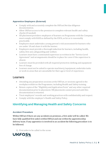## <span id="page-7-0"></span>**Apprentice Employers (External)**

- Comply with and accurately complete the UKFast.Net due diligence documentation.
- Allow UKFast access to the premises to complete relevant health and safety checks (if needed)
- <span id="page-7-1"></span>• All placement providers employers of learners on Programme with the Company must comply with HASS as defined by the ESFA, as far as is reasonably practicable.
- Employers must undertake a young person's risk assessment for learners who are under 18 and share it with the learner.
- Employers must provide a thorough induction for learners, including health, safety, first aid, safeguarding and welfare.
- Learners must have a nominated supervisor as written in the "Service Level Agreement" and arrangements should be in place for cover if the supervisor is absent.
- Learners must be provided with all required protective clothing and equipment free of charge.
- Learners must not be asked to operate machinery/equipment, undertake tasks or work in areas that are unsuitable for their age or level of experience.

## Learners

- Attending any preparation sessions at the UKFast, or sessions agreed in the workplace whilst on the Programme, including Health and Safety training.
- Return copies of the "Eligibility and Application Form" and any other required documentation prior to placement. NB placements cannot proceed until this documentation is returned.
- Treat employers' records and working practices with confidentiality and respect.
- Comply with the employer's Health and Safety Policy.

# <span id="page-7-2"></span>**Identifying and Managing Health and Safety Concerns**

## <span id="page-7-3"></span>**Accident Procedure**

Within UKFast if there are any accidents on premises, a first aider will be called. We have fully qualified first aiders within UKFast and one within the apprenticeship delivery team. If any apprentice is involved in an accident the following procedure is to be followed.

1) First aider to be called to the scene